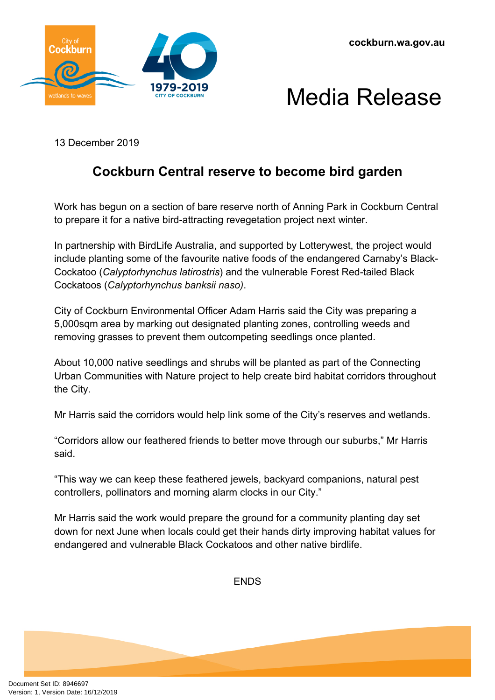





13 December 2019

## **Cockburn Central reserve to become bird garden**

Work has begun on a section of bare reserve north of Anning Park in Cockburn Central to prepare it for a native bird-attracting revegetation project next winter.

In partnership with BirdLife Australia, and supported by Lotterywest, the project would include planting some of the favourite native foods of the endangered Carnaby's Black-Cockatoo (*Calyptorhynchus latirostris*) and the vulnerable Forest Red-tailed Black Cockatoos (*Calyptorhynchus banksii naso)*.

City of Cockburn Environmental Officer Adam Harris said the City was preparing a 5,000sqm area by marking out designated planting zones, controlling weeds and removing grasses to prevent them outcompeting seedlings once planted.

About 10,000 native seedlings and shrubs will be planted as part of the Connecting Urban Communities with Nature project to help create bird habitat corridors throughout the City.

Mr Harris said the corridors would help link some of the City's reserves and wetlands.

"Corridors allow our feathered friends to better move through our suburbs," Mr Harris said.

"This way we can keep these feathered jewels, backyard companions, natural pest controllers, pollinators and morning alarm clocks in our City."

Mr Harris said the work would prepare the ground for a community planting day set down for next June when locals could get their hands dirty improving habitat values for endangered and vulnerable Black Cockatoos and other native birdlife.

ENDS